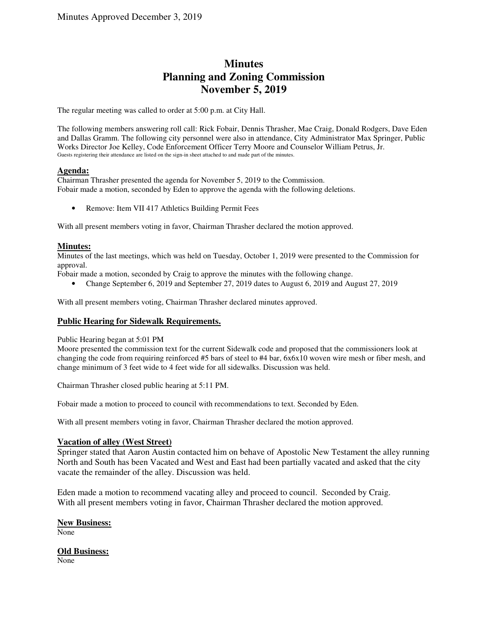# **Minutes Planning and Zoning Commission November 5, 2019**

The regular meeting was called to order at 5:00 p.m. at City Hall.

The following members answering roll call: Rick Fobair, Dennis Thrasher, Mae Craig, Donald Rodgers, Dave Eden and Dallas Gramm. The following city personnel were also in attendance, City Administrator Max Springer, Public Works Director Joe Kelley, Code Enforcement Officer Terry Moore and Counselor William Petrus, Jr. Guests registering their attendance are listed on the sign-in sheet attached to and made part of the minutes.

# **Agenda:**

Chairman Thrasher presented the agenda for November 5, 2019 to the Commission. Fobair made a motion, seconded by Eden to approve the agenda with the following deletions.

• Remove: Item VII 417 Athletics Building Permit Fees

With all present members voting in favor, Chairman Thrasher declared the motion approved.

# **Minutes:**

Minutes of the last meetings, which was held on Tuesday, October 1, 2019 were presented to the Commission for approval.

Fobair made a motion, seconded by Craig to approve the minutes with the following change.

• Change September 6, 2019 and September 27, 2019 dates to August 6, 2019 and August 27, 2019

With all present members voting, Chairman Thrasher declared minutes approved.

# **Public Hearing for Sidewalk Requirements.**

Public Hearing began at 5:01 PM

Moore presented the commission text for the current Sidewalk code and proposed that the commissioners look at changing the code from requiring reinforced #5 bars of steel to #4 bar, 6x6x10 woven wire mesh or fiber mesh, and change minimum of 3 feet wide to 4 feet wide for all sidewalks. Discussion was held.

Chairman Thrasher closed public hearing at 5:11 PM.

Fobair made a motion to proceed to council with recommendations to text. Seconded by Eden.

With all present members voting in favor, Chairman Thrasher declared the motion approved.

# **Vacation of alley (West Street)**

Springer stated that Aaron Austin contacted him on behave of Apostolic New Testament the alley running North and South has been Vacated and West and East had been partially vacated and asked that the city vacate the remainder of the alley. Discussion was held.

Eden made a motion to recommend vacating alley and proceed to council. Seconded by Craig. With all present members voting in favor, Chairman Thrasher declared the motion approved.

# **New Business:**

None

# **Old Business:**

None